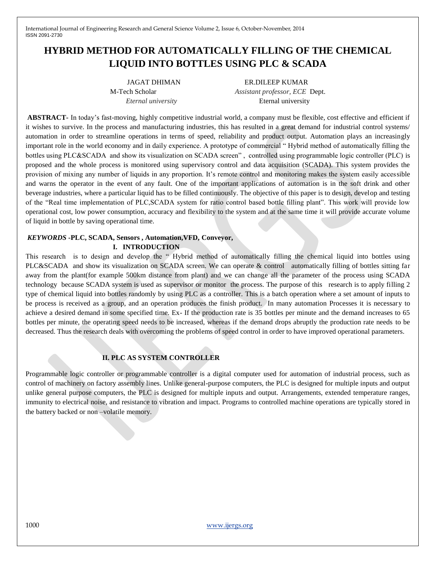# **HYBRID METHOD FOR AUTOMATICALLY FILLING OF THE CHEMICAL LIQUID INTO BOTTLES USING PLC & SCADA**

JAGAT DHIMAN ER.DILEEP KUMAR M-Tech Scholar*Assistant professor, ECE* Dept. *Eternal university* Eternal university

**ABSTRACT-** In today's fast-moving, highly competitive industrial world, a company must be flexible, cost effective and efficient if it wishes to survive. In the process and manufacturing industries, this has resulted in a great demand for industrial control systems/ automation in order to streamline operations in terms of speed, reliability and product output. Automation plays an increasingly important role in the world economy and in daily experience. A prototype of commercial " Hybrid method of automatically filling the bottles using PLC&SCADA and show its visualization on SCADA screen" , controlled using programmable logic controller (PLC) is proposed and the whole process is monitored using supervisory control and data acquisition (SCADA). This system provides the provision of mixing any number of liquids in any proportion. It's remote control and monitoring makes the system easily accessible and warns the operator in the event of any fault. One of the important applications of automation is in the soft drink and other beverage industries, where a particular liquid has to be filled continuously. The objective of this paper is to design, develop and testing of the "Real time implementation of PLC,SCADA system for ratio control based bottle filling plant". This work will provide low operational cost, low power consumption, accuracy and flexibility to the system and at the same time it will provide accurate volume of liquid in bottle by saving operational time.

# *KEYWORDS* **-PLC, SCADA, Sensors , Automation,VFD, Conveyor,**

**I. INTRODUCTION** 

This research is to design and develop the " Hybrid method of automatically filling the chemical liquid into bottles using PLC&SCADA and show its visualization on SCADA screen. We can operate & control automatically filling of bottles sitting far away from the plant(for example 500km distance from plant) and we can change all the parameter of the process using SCADA technology because SCADA system is used as supervisor or monitor the process. The purpose of this research is to apply filling 2 type of chemical liquid into bottles randomly by using PLC as a controller. This is a batch operation where a set amount of inputs to be process is received as a group, and an operation produces the finish product. In many automation Processes it is necessary to achieve a desired demand in some specified time. Ex- If the production rate is 35 bottles per minute and the demand increases to 65 bottles per minute, the operating speed needs to be increased, whereas if the demand drops abruptly the production rate needs to be decreased. Thus the research deals with overcoming the problems of speed control in order to have improved operational parameters.

## **II. PLC AS SYSTEM CONTROLLER**

Programmable logic controller or programmable controller is a digital computer used for automation of industrial process, such as control of machinery on factory assembly lines. Unlike general-purpose computers, the PLC is designed for multiple inputs and output unlike general purpose computers, the PLC is designed for multiple inputs and output. Arrangements, extended temperature ranges, immunity to electrical noise, and resistance to vibration and impact. Programs to controlled machine operations are typically stored in the battery backed or non –volatile memory.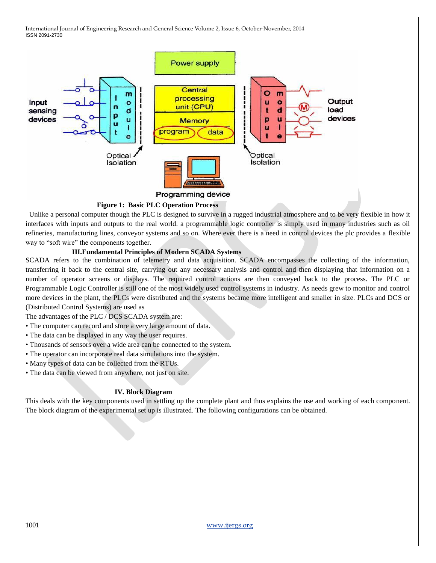

#### **Figure 1: Basic PLC Operation Process**

 Unlike a personal computer though the PLC is designed to survive in a rugged industrial atmosphere and to be very flexible in how it interfaces with inputs and outputs to the real world. a programmable logic controller is simply used in many industries such as oil refineries, manufacturing lines, conveyor systems and so on. Where ever there is a need in control devices the plc provides a flexible way to "soft wire" the components together.

## **III.Fundamental Principles of Modern SCADA Systems**

SCADA refers to the combination of telemetry and data acquisition. SCADA encompasses the collecting of the information, transferring it back to the central site, carrying out any necessary analysis and control and then displaying that information on a number of operator screens or displays. The required control actions are then conveyed back to the process. The PLC or Programmable Logic Controller is still one of the most widely used control systems in industry. As needs grew to monitor and control more devices in the plant, the PLCs were distributed and the systems became more intelligent and smaller in size. PLCs and DCS or (Distributed Control Systems) are used as

The advantages of the PLC / DCS SCADA system are:

- The computer can record and store a very large amount of data.
- The data can be displayed in any way the user requires.
- Thousands of sensors over a wide area can be connected to the system.
- The operator can incorporate real data simulations into the system.
- Many types of data can be collected from the RTUs.
- The data can be viewed from anywhere, not just on site.

#### **IV. Block Diagram**

This deals with the key components used in settling up the complete plant and thus explains the use and working of each component. The block diagram of the experimental set up is illustrated. The following configurations can be obtained.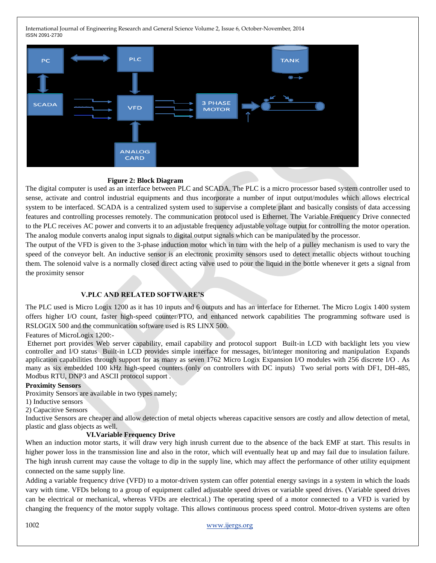

#### **Figure 2: Block Diagram**

The digital computer is used as an interface between PLC and SCADA. The PLC is a micro processor based system controller used to sense, activate and control industrial equipments and thus incorporate a number of input output/modules which allows electrical system to be interfaced. SCADA is a centralized system used to supervise a complete plant and basically consists of data accessing features and controlling processes remotely. The communication protocol used is Ethernet. The Variable Frequency Drive connected to the PLC receives AC power and converts it to an adjustable frequency adjustable voltage output for controlling the motor operation. The analog module converts analog input signals to digital output signals which can be manipulated by the processor.

The output of the VFD is given to the 3-phase induction motor which in turn with the help of a pulley mechanism is used to vary the speed of the conveyor belt. An inductive sensor is an electronic proximity sensors used to detect metallic objects without touching them. The solenoid valve is a normally closed direct acting valve used to pour the liquid in the bottle whenever it gets a signal from the proximity sensor

#### **V.PLC AND RELATED SOFTWARE'S**

The PLC used is Micro Logix 1200 as it has 10 inputs and 6 outputs and has an interface for Ethernet. The Micro Logix 1400 system offers higher I/O count, faster high-speed counter/PTO, and enhanced network capabilities The programming software used is RSLOGIX 500 and the communication software used is RS LINX 500.

Features of MicroLogix 1200:-

Ethernet port provides Web server capability, email capability and protocol support Built-in LCD with backlight lets you view controller and I/O status Built-in LCD provides simple interface for messages, bit/integer monitoring and manipulation Expands application capabilities through support for as many as seven 1762 Micro Logix Expansion I/O modules with 256 discrete I/O . As many as six embedded 100 kHz high-speed counters (only on controllers with DC inputs) Two serial ports with DF1, DH-485, Modbus RTU, DNP3 and ASCII protocol support .

#### **Proximity Sensors**

Proximity Sensors are available in two types namely;

- 1) Inductive sensors
- 2) Capacitive Sensors

Inductive Sensors are cheaper and allow detection of metal objects whereas capacitive sensors are costly and allow detection of metal, plastic and glass objects as well.

#### **VI.Variable Frequency Drive**

When an induction motor starts, it will draw very high inrush current due to the absence of the back EMF at start. This results in higher power loss in the transmission line and also in the rotor, which will eventually heat up and may fail due to insulation failure. The high inrush current may cause the voltage to dip in the supply line, which may affect the performance of other utility equipment connected on the same supply line.

Adding a variable frequency drive (VFD) to a motor-driven system can offer potential energy savings in a system in which the loads vary with time. VFDs belong to a group of equipment called adjustable speed drives or variable speed drives. (Variable speed drives can be electrical or mechanical, whereas VFDs are electrical.) The operating speed of a motor connected to a VFD is varied by changing the frequency of the motor supply voltage. This allows continuous process speed control. Motor-driven systems are often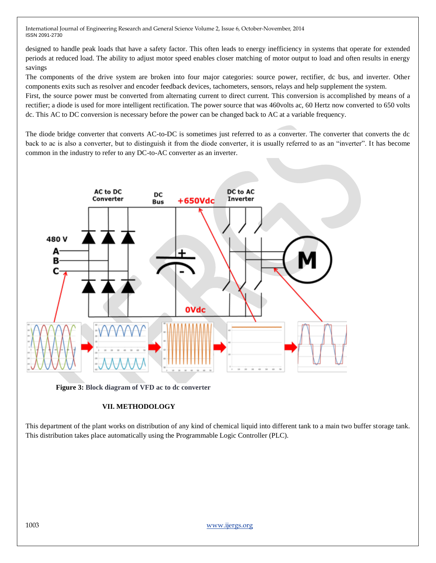designed to handle peak loads that have a safety factor. This often leads to energy inefficiency in systems that operate for extended periods at reduced load. The ability to adjust motor speed enables closer matching of motor output to load and often results in energy savings

The components of the drive system are broken into four major categories: source power, rectifier, dc bus, and inverter. Other components exits such as resolver and encoder feedback devices, tachometers, sensors, relays and help supplement the system.

First, the source power must be converted from alternating current to direct current. This conversion is accomplished by means of a rectifier; a diode is used for more intelligent rectification. The power source that was 460volts ac, 60 Hertz now converted to 650 volts dc. This AC to DC conversion is necessary before the power can be changed back to AC at a variable frequency.

The diode bridge converter that converts AC-to-DC is sometimes just referred to as a converter. The converter that converts the dc back to ac is also a converter, but to distinguish it from the diode converter, it is usually referred to as an "inverter". It has become common in the industry to refer to any DC-to-AC converter as an inverter.



**Figure 3: Block diagram of VFD ac to dc converter**

## **VII. METHODOLOGY**

This department of the plant works on distribution of any kind of chemical liquid into different tank to a main two buffer storage tank. This distribution takes place automatically using the Programmable Logic Controller (PLC).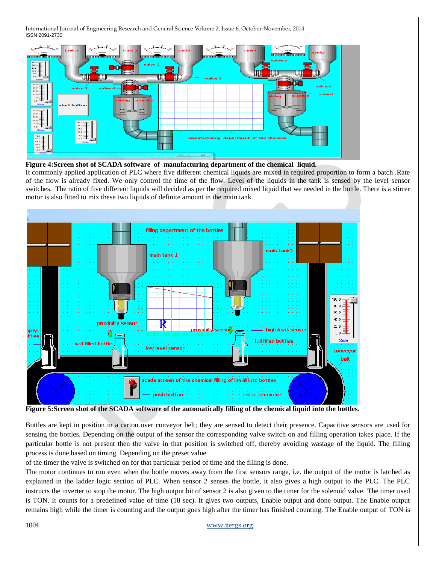

**Figure 4:Screen shot of SCADA software of manufacturing department of the chemical liquid.**

It commonly applied application of PLC where five different chemical liquids are mixed in required proportion to form a batch .Rate of the flow is already fixed. We only control the time of the flow. Level of the liquids in the tank is sensed by the level sensor switches. The ratio of five different liquids will decided as per the required mixed liquid that we needed in the bottle. There is a stirrer motor is also fitted to mix these two liquids of definite amount in the main tank.



**Figure 5:Screen shot of the SCADA software of the automatically filling of the chemical liquid into the bottles.**

Bottles are kept in position in a carton over conveyor belt; they are sensed to detect their presence. Capacitive sensors are used for sensing the bottles. Depending on the output of the sensor the corresponding valve switch on and filling operation takes place. If the particular bottle is not present then the valve in that position is switched off, thereby avoiding wastage of the liquid. The filling process is done based on timing. Depending on the preset value

of the timer the valve is switched on for that particular period of time and the filling is done.

The motor continues to run even when the bottle moves away from the first sensors range, i.e. the output of the motor is latched as explained in the ladder logic section of PLC. When sensor 2 senses the bottle, it also gives a high output to the PLC. The PLC instructs the inverter to stop the motor. The high output bit of sensor 2 is also given to the timer for the solenoid valve. The timer used is TON. It counts for a predefined value of time (18 sec). It gives two outputs, Enable output and done output. The Enable output remains high while the timer is counting and the output goes high after the timer has finished counting. The Enable output of TON is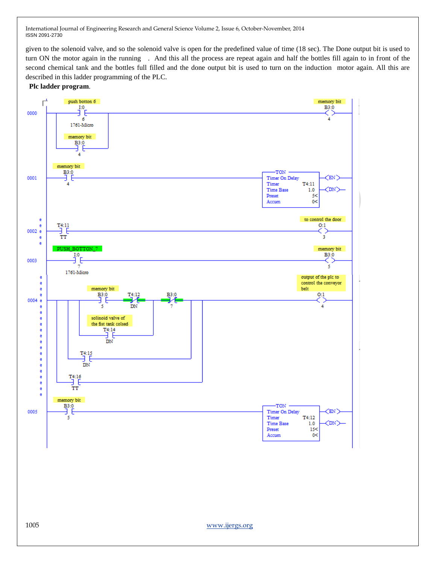given to the solenoid valve, and so the solenoid valve is open for the predefined value of time (18 sec). The Done output bit is used to turn ON the motor again in the running . And this all the process are repeat again and half the bottles fill again to in front of the second chemical tank and the bottles full filled and the done output bit is used to turn on the induction motor again. All this are described in this ladder programming of the PLC.



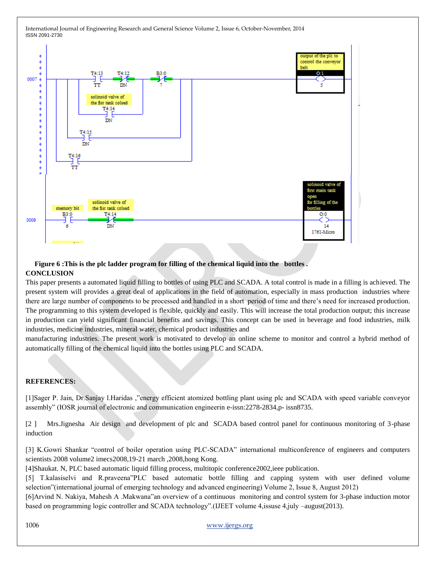

# **Figure 6 :This is the plc ladder program for filling of the chemical liquid into the bottles . CONCLUSION**

This paper presents a automated liquid filling to bottles of using PLC and SCADA. A total control is made in a filling is achieved. The present system will provides a great deal of applications in the field of automation, especially in mass production industries where there are large number of components to be processed and handled in a short period of time and there's need for increased production. The programming to this system developed is flexible, quickly and easily. This will increase the total production output; this increase in production can yield significant financial benefits and savings. This concept can be used in beverage and food industries, milk industries, medicine industries, mineral water, chemical product industries and

manufacturing industries. The present work is motivated to develop an online scheme to monitor and control a hybrid method of automatically filling of the chemical liquid into the bottles using PLC and SCADA.

## **REFERENCES:**

[1]Sager P. Jain, Dr.Sanjay l.Haridas ,"energy efficient atomized bottling plant using plc and SCADA with speed variable conveyor assembly" (IOSR journal of electronic and communication engineerin e-issn:2278-2834,p- issn8735.

[2 ] Mrs.Jignesha Air design and development of plc and SCADA based control panel for continuous monitoring of 3-phase induction

[3] K.Gowri Shankar "control of boiler operation using PLC-SCADA" international multiconference of engineers and computers scientists 2008 volume2 imecs2008,19-21 march ,2008,hong Kong.

[4]Shaukat. N, PLC based automatic liquid filling process, multitopic conference2002,ieee publication.

[5] T.kalasiselvi and R.praveena"PLC based automatic bottle filling and capping system with user defined volume selection"(international journal of emerging technology and advanced engineering) Volume 2, Issue 8, August 2012)

[6]Arvind N. Nakiya, Mahesh A .Makwana"an overview of a continuous monitoring and control system for 3-phase induction motor based on programming logic controller and SCADA technology".(IJEET volume 4,issuse 4,july –august(2013).